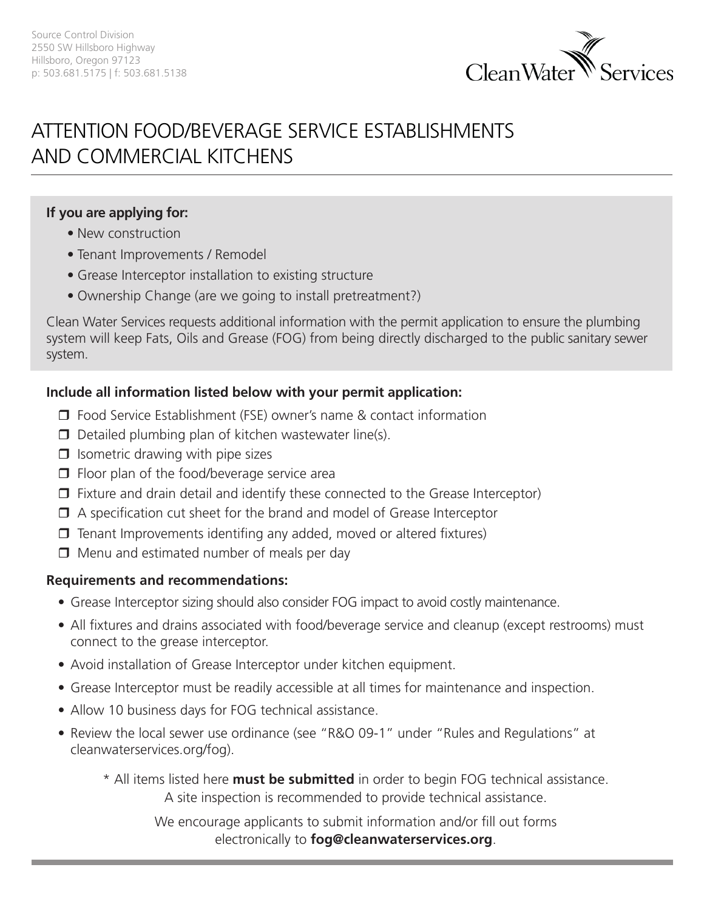

# ATTENTION FOOD/BEVERAGE SERVICE ESTABLISHMENTS AND COMMERCIAL KITCHENS

#### **If you are applying for:**

- New construction
- Tenant Improvements / Remodel
- Grease Interceptor installation to existing structure
- Ownership Change (are we going to install pretreatment?)

Clean Water Services requests additional information with the permit application to ensure the plumbing system will keep Fats, Oils and Grease (FOG) from being directly discharged to the public sanitary sewer system.

# **Include all information listed below with your permit application:**

- $\Box$  Food Service Establishment (FSE) owner's name & contact information
- $\Box$  Detailed plumbing plan of kitchen wastewater line(s).
- $\Box$  Isometric drawing with pipe sizes
- $\Box$  Floor plan of the food/beverage service area
- $\Box$  Fixture and drain detail and identify these connected to the Grease Interceptor)
- $\Box$  A specification cut sheet for the brand and model of Grease Interceptor
- $\Box$  Tenant Improvements identifing any added, moved or altered fixtures)
- $\Box$  Menu and estimated number of meals per day

# **Requirements and recommendations:**

- Grease Interceptor sizing should also consider FOG impact to avoid costly maintenance.
- All fixtures and drains associated with food/beverage service and cleanup (except restrooms) must connect to the grease interceptor.
- Avoid installation of Grease Interceptor under kitchen equipment.
- Grease Interceptor must be readily accessible at all times for maintenance and inspection.
- Allow 10 business days for FOG technical assistance.
- Review the local sewer use ordinance (see "R&O 09-1" under "Rules and Regulations" at cleanwaterservices.org/fog).
	- \* All items listed here **must be submitted** in order to begin FOG technical assistance. A site inspection is recommended to provide technical assistance.

We encourage applicants to submit information and/or fill out forms electronically to **fog@cleanwaterservices.org**.